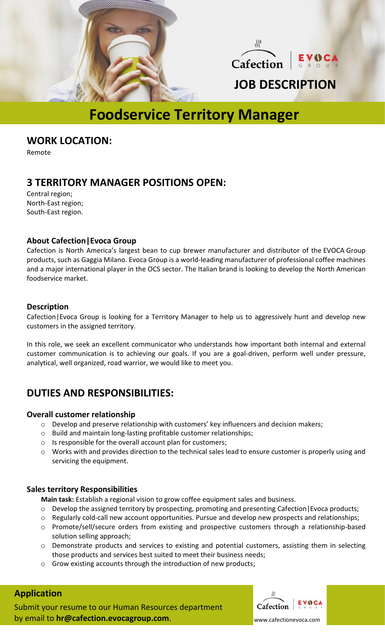



## **JOB DESCRIPTION**

# **Foodservice Territory Manager**

**WORK LOCATION:**

Remote

### **3 TERRITORY MANAGER POSITIONS OPEN:**

Central region; North-East region; South-East region.

#### **About Cafection|Evoca Group**

[Cafection](http://www.cafection.com/) is North America's largest bean to cup brewer manufacturer and distributor of the [EVOCA Group](http://www.evocagroup.com/)  products, such as Gaggia Milano. Evoca Group is a world-leading manufacturer of professional coffee machines and a major international player in the OCS sector. The Italian brand is looking to develop the North American foodservice market.

#### **Description**

Cafection|Evoca Group is looking for a Territory Manager to help us to aggressively hunt and develop new customers in the assigned territory.

In this role, we seek an excellent communicator who understands how important both internal and external customer communication is to achieving our goals. If you are a goal-driven, perform well under pressure, analytical, well organized, road warrior, we would like to meet you.

### **DUTIES AND RESPONSIBILITIES:**

#### **Overall customer relationship**

- o Develop and preserve relationship with customers' key influencers and decision makers;
- o Build and maintain long-lasting profitable customer relationships;
- o Is responsible for the overall account plan for customers;
- $\circ$  Works with and provides direction to the technical sales lead to ensure customer is properly using and servicing the equipment.

#### **Sales territory Responsibilities**

**Main task:** Establish a regional vision to grow coffee equipment sales and business.

- o Develop the assigned territory by prospecting, promoting and presenting Cafection|Evoca products;
- o Regularly cold-call new account opportunities. Pursue and develop new prospects and relationships;
- o Promote/sell/secure orders from existing and prospective customers through a relationship-based solution selling approach;
- o Demonstrate products and services to existing and potential customers, assisting them in selecting those products and services best suited to meet their business needs;
- o Grow existing accounts through the introduction of new products;

#### **Application**

Submit your resume to our Human Resources department by email to **hr@cafection.evocagroup.com**.



www.cafectionevoca.com